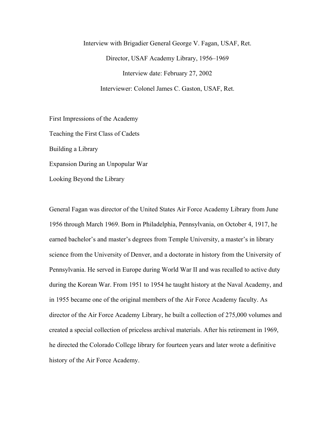## Interview with Brigadier General George V. Fagan, USAF, Ret. Director, USAF Academy Library, 1956–1969 Interview date: February 27, 2002 Interviewer: Colonel James C. Gaston, USAF, Ret.

First Impressions of the Academy Teaching the First Class of Cadets Building a Library Expansion During an Unpopular War Looking Beyond the Library

General Fagan was director of the United States Air Force Academy Library from June 1956 through March 1969. Born in Philadelphia, Pennsylvania, on October 4, 1917, he earned bachelor's and master's degrees from Temple University, a master's in library science from the University of Denver, and a doctorate in history from the University of Pennsylvania. He served in Europe during World War II and was recalled to active duty during the Korean War. From 1951 to 1954 he taught history at the Naval Academy, and in 1955 became one of the original members of the Air Force Academy faculty. As director of the Air Force Academy Library, he built a collection of 275,000 volumes and created a special collection of priceless archival materials. After his retirement in 1969, he directed the Colorado College library for fourteen years and later wrote a definitive history of the Air Force Academy.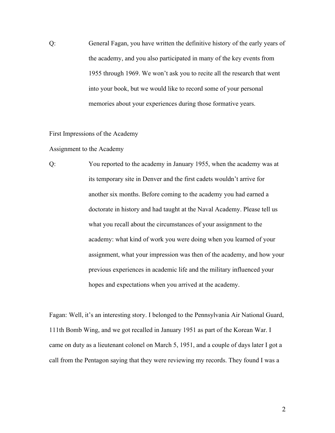Q: General Fagan, you have written the definitive history of the early years of the academy, and you also participated in many of the key events from 1955 through 1969. We won't ask you to recite all the research that went into your book, but we would like to record some of your personal memories about your experiences during those formative years.

First Impressions of the Academy

Assignment to the Academy

Q: You reported to the academy in January 1955, when the academy was at its temporary site in Denver and the first cadets wouldn't arrive for another six months. Before coming to the academy you had earned a doctorate in history and had taught at the Naval Academy. Please tell us what you recall about the circumstances of your assignment to the academy: what kind of work you were doing when you learned of your assignment, what your impression was then of the academy, and how your previous experiences in academic life and the military influenced your hopes and expectations when you arrived at the academy.

Fagan: Well, it's an interesting story. I belonged to the Pennsylvania Air National Guard, 111th Bomb Wing, and we got recalled in January 1951 as part of the Korean War. I came on duty as a lieutenant colonel on March 5, 1951, and a couple of days later I got a call from the Pentagon saying that they were reviewing my records. They found I was a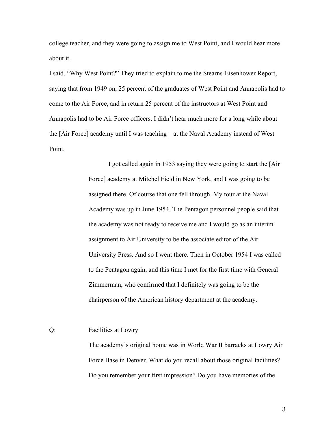college teacher, and they were going to assign me to West Point, and I would hear more about it.

I said, "Why West Point?" They tried to explain to me the Stearns-Eisenhower Report, saying that from 1949 on, 25 percent of the graduates of West Point and Annapolis had to come to the Air Force, and in return 25 percent of the instructors at West Point and Annapolis had to be Air Force officers. I didn't hear much more for a long while about the [Air Force] academy until I was teaching—at the Naval Academy instead of West Point.

> I got called again in 1953 saying they were going to start the [Air Force] academy at Mitchel Field in New York, and I was going to be assigned there. Of course that one fell through. My tour at the Naval Academy was up in June 1954. The Pentagon personnel people said that the academy was not ready to receive me and I would go as an interim assignment to Air University to be the associate editor of the Air University Press. And so I went there. Then in October 1954 I was called to the Pentagon again, and this time I met for the first time with General Zimmerman, who confirmed that I definitely was going to be the chairperson of the American history department at the academy.

Q: Facilities at Lowry

The academy's original home was in World War II barracks at Lowry Air Force Base in Denver. What do you recall about those original facilities? Do you remember your first impression? Do you have memories of the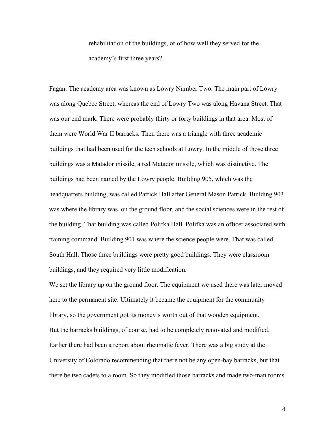rehabilitation of the buildings, or of how well they served for the academy's first three years?

Fagan: The academy area was known as Lowry Number Two. The main part of Lowry was along Quebec Street, whereas the end of Lowry Two was along Havana Street. That was our end mark. There were probably thirty or forty buildings in that area. Most of them were World War II barracks. Then there was a triangle with three academic buildings that had been used for the tech schools at Lowry. In the middle of those three buildings was a Matador missile, a red Matador missile, which was distinctive. The buildings had been named by the Lowry people. Building 905, which was the headquarters building, was called Patrick Hall after General Mason Patrick. Building 903 was where the library was, on the ground floor, and the social sciences were in the rest of the building. That building was called Polifka Hall. Polifka was an officer associated with training command. Building 901 was where the science people were. That was called South Hall. Those three buildings were pretty good buildings. They were classroom buildings, and they required very little modification.

We set the library up on the ground floor. The equipment we used there was later moved here to the permanent site. Ultimately it became the equipment for the community library, so the government got its money's worth out of that wooden equipment. But the barracks buildings, of course, had to be completely renovated and modified. Earlier there had been a report about rheumatic fever. There was a big study at the University of Colorado recommending that there not be any open-bay barracks, but that there be two cadets to a room. So they modified those barracks and made two-man rooms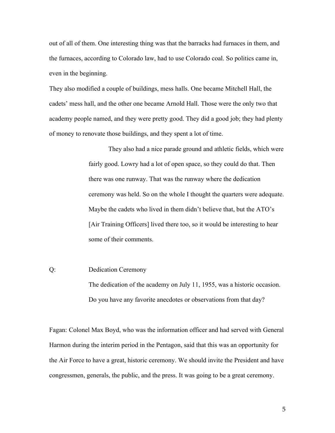out of all of them. One interesting thing was that the barracks had furnaces in them, and the furnaces, according to Colorado law, had to use Colorado coal. So politics came in, even in the beginning.

They also modified a couple of buildings, mess halls. One became Mitchell Hall, the cadets' mess hall, and the other one became Arnold Hall. Those were the only two that academy people named, and they were pretty good. They did a good job; they had plenty of money to renovate those buildings, and they spent a lot of time.

> They also had a nice parade ground and athletic fields, which were fairly good. Lowry had a lot of open space, so they could do that. Then there was one runway. That was the runway where the dedication ceremony was held. So on the whole I thought the quarters were adequate. Maybe the cadets who lived in them didn't believe that, but the ATO's [Air Training Officers] lived there too, so it would be interesting to hear some of their comments.

## Q: Dedication Ceremony

The dedication of the academy on July 11, 1955, was a historic occasion. Do you have any favorite anecdotes or observations from that day?

Fagan: Colonel Max Boyd, who was the information officer and had served with General Harmon during the interim period in the Pentagon, said that this was an opportunity for the Air Force to have a great, historic ceremony. We should invite the President and have congressmen, generals, the public, and the press. It was going to be a great ceremony.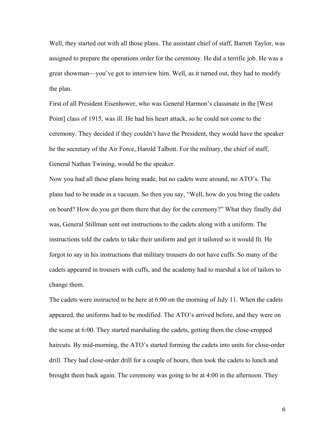Well, they started out with all those plans. The assistant chief of staff, Barrett Taylor, was assigned to prepare the operations order for the ceremony. He did a terrific job. He was a great showman—you've got to interview him. Well, as it turned out, they had to modify the plan.

First of all President Eisenhower, who was General Harmon's classmate in the [West Point] class of 1915, was ill. He had his heart attack, so he could not come to the ceremony. They decided if they couldn't have the President, they would have the speaker be the secretary of the Air Force, Harold Talbott. For the military, the chief of staff, General Nathan Twining, would be the speaker.

Now you had all these plans being made, but no cadets were around, no ATO's. The plans had to be made in a vacuum. So then you say, "Well, how do you bring the cadets on board? How do you get them there that day for the ceremony?" What they finally did was, General Stillman sent out instructions to the cadets along with a uniform. The instructions told the cadets to take their uniform and get it tailored so it would fit. He forgot to say in his instructions that military trousers do not have cuffs. So many of the cadets appeared in trousers with cuffs, and the academy had to marshal a lot of tailors to change them.

The cadets were instructed to be here at 6:00 on the morning of July 11. When the cadets appeared, the uniforms had to be modified. The ATO's arrived before, and they were on the scene at 6:00. They started marshaling the cadets, getting them the close-cropped haircuts. By mid-morning, the ATO's started forming the cadets into units for close-order drill. They had close-order drill for a couple of hours, then took the cadets to lunch and brought them back again. The ceremony was going to be at 4:00 in the afternoon. They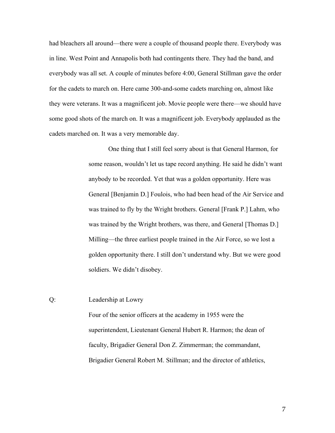had bleachers all around—there were a couple of thousand people there. Everybody was in line. West Point and Annapolis both had contingents there. They had the band, and everybody was all set. A couple of minutes before 4:00, General Stillman gave the order for the cadets to march on. Here came 300-and-some cadets marching on, almost like they were veterans. It was a magnificent job. Movie people were there—we should have some good shots of the march on. It was a magnificent job. Everybody applauded as the cadets marched on. It was a very memorable day.

> One thing that I still feel sorry about is that General Harmon, for some reason, wouldn't let us tape record anything. He said he didn't want anybody to be recorded. Yet that was a golden opportunity. Here was General [Benjamin D.] Foulois, who had been head of the Air Service and was trained to fly by the Wright brothers. General [Frank P.] Lahm, who was trained by the Wright brothers, was there, and General [Thomas D.] Milling—the three earliest people trained in the Air Force, so we lost a golden opportunity there. I still don't understand why. But we were good soldiers. We didn't disobey.

Q: Leadership at Lowry

Four of the senior officers at the academy in 1955 were the superintendent, Lieutenant General Hubert R. Harmon; the dean of faculty, Brigadier General Don Z. Zimmerman; the commandant, Brigadier General Robert M. Stillman; and the director of athletics,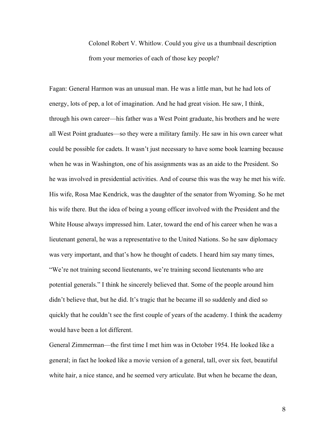Colonel Robert V. Whitlow. Could you give us a thumbnail description from your memories of each of those key people?

Fagan: General Harmon was an unusual man. He was a little man, but he had lots of energy, lots of pep, a lot of imagination. And he had great vision. He saw, I think, through his own career—his father was a West Point graduate, his brothers and he were all West Point graduates—so they were a military family. He saw in his own career what could be possible for cadets. It wasn't just necessary to have some book learning because when he was in Washington, one of his assignments was as an aide to the President. So he was involved in presidential activities. And of course this was the way he met his wife. His wife, Rosa Mae Kendrick, was the daughter of the senator from Wyoming. So he met his wife there. But the idea of being a young officer involved with the President and the White House always impressed him. Later, toward the end of his career when he was a lieutenant general, he was a representative to the United Nations. So he saw diplomacy was very important, and that's how he thought of cadets. I heard him say many times, "We're not training second lieutenants, we're training second lieutenants who are potential generals." I think he sincerely believed that. Some of the people around him didn't believe that, but he did. It's tragic that he became ill so suddenly and died so quickly that he couldn't see the first couple of years of the academy. I think the academy would have been a lot different.

General Zimmerman—the first time I met him was in October 1954. He looked like a general; in fact he looked like a movie version of a general, tall, over six feet, beautiful white hair, a nice stance, and he seemed very articulate. But when he became the dean,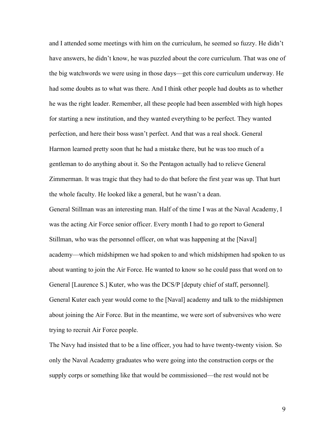and I attended some meetings with him on the curriculum, he seemed so fuzzy. He didn't have answers, he didn't know, he was puzzled about the core curriculum. That was one of the big watchwords we were using in those days—get this core curriculum underway. He had some doubts as to what was there. And I think other people had doubts as to whether he was the right leader. Remember, all these people had been assembled with high hopes for starting a new institution, and they wanted everything to be perfect. They wanted perfection, and here their boss wasn't perfect. And that was a real shock. General Harmon learned pretty soon that he had a mistake there, but he was too much of a gentleman to do anything about it. So the Pentagon actually had to relieve General Zimmerman. It was tragic that they had to do that before the first year was up. That hurt the whole faculty. He looked like a general, but he wasn't a dean.

General Stillman was an interesting man. Half of the time I was at the Naval Academy, I was the acting Air Force senior officer. Every month I had to go report to General Stillman, who was the personnel officer, on what was happening at the [Naval] academy—which midshipmen we had spoken to and which midshipmen had spoken to us about wanting to join the Air Force. He wanted to know so he could pass that word on to General [Laurence S.] Kuter, who was the DCS/P [deputy chief of staff, personnel]. General Kuter each year would come to the [Naval] academy and talk to the midshipmen about joining the Air Force. But in the meantime, we were sort of subversives who were trying to recruit Air Force people.

The Navy had insisted that to be a line officer, you had to have twenty-twenty vision. So only the Naval Academy graduates who were going into the construction corps or the supply corps or something like that would be commissioned—the rest would not be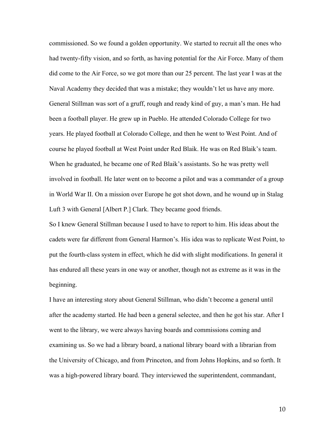commissioned. So we found a golden opportunity. We started to recruit all the ones who had twenty-fifty vision, and so forth, as having potential for the Air Force. Many of them did come to the Air Force, so we got more than our 25 percent. The last year I was at the Naval Academy they decided that was a mistake; they wouldn't let us have any more. General Stillman was sort of a gruff, rough and ready kind of guy, a man's man. He had been a football player. He grew up in Pueblo. He attended Colorado College for two years. He played football at Colorado College, and then he went to West Point. And of course he played football at West Point under Red Blaik. He was on Red Blaik's team. When he graduated, he became one of Red Blaik's assistants. So he was pretty well involved in football. He later went on to become a pilot and was a commander of a group in World War II. On a mission over Europe he got shot down, and he wound up in Stalag Luft 3 with General [Albert P.] Clark. They became good friends.

So I knew General Stillman because I used to have to report to him. His ideas about the cadets were far different from General Harmon's. His idea was to replicate West Point, to put the fourth-class system in effect, which he did with slight modifications. In general it has endured all these years in one way or another, though not as extreme as it was in the beginning.

I have an interesting story about General Stillman, who didn't become a general until after the academy started. He had been a general selectee, and then he got his star. After I went to the library, we were always having boards and commissions coming and examining us. So we had a library board, a national library board with a librarian from the University of Chicago, and from Princeton, and from Johns Hopkins, and so forth. It was a high-powered library board. They interviewed the superintendent, commandant,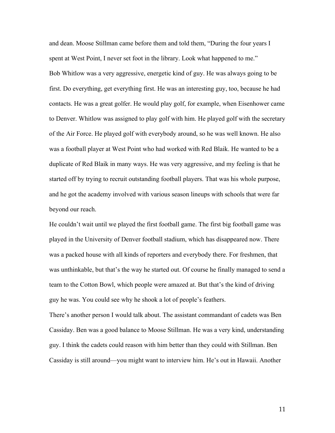and dean. Moose Stillman came before them and told them, "During the four years I spent at West Point, I never set foot in the library. Look what happened to me." Bob Whitlow was a very aggressive, energetic kind of guy. He was always going to be first. Do everything, get everything first. He was an interesting guy, too, because he had contacts. He was a great golfer. He would play golf, for example, when Eisenhower came to Denver. Whitlow was assigned to play golf with him. He played golf with the secretary of the Air Force. He played golf with everybody around, so he was well known. He also was a football player at West Point who had worked with Red Blaik. He wanted to be a duplicate of Red Blaik in many ways. He was very aggressive, and my feeling is that he started off by trying to recruit outstanding football players. That was his whole purpose, and he got the academy involved with various season lineups with schools that were far beyond our reach.

He couldn't wait until we played the first football game. The first big football game was played in the University of Denver football stadium, which has disappeared now. There was a packed house with all kinds of reporters and everybody there. For freshmen, that was unthinkable, but that's the way he started out. Of course he finally managed to send a team to the Cotton Bowl, which people were amazed at. But that's the kind of driving guy he was. You could see why he shook a lot of people's feathers.

There's another person I would talk about. The assistant commandant of cadets was Ben Cassiday. Ben was a good balance to Moose Stillman. He was a very kind, understanding guy. I think the cadets could reason with him better than they could with Stillman. Ben Cassiday is still around—you might want to interview him. He's out in Hawaii. Another